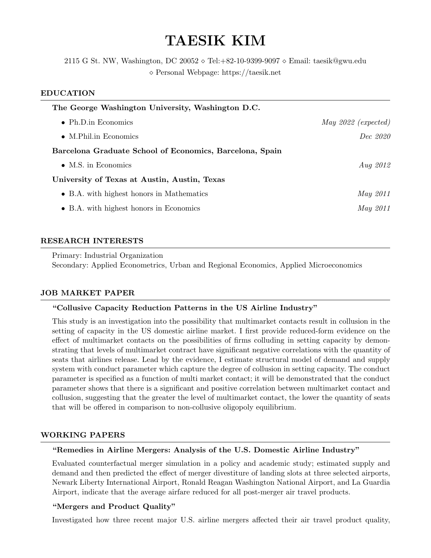# TAESIK KIM

2115 G St. NW, Washington, DC 20052  $\diamond$  Tel: +82-10-9399-9097  $\diamond$  Email: taesik@gwu.edu Personal Webpage: https://taesik.net

#### EDUCATION

| The George Washington University, Washington D.C.        |                       |
|----------------------------------------------------------|-----------------------|
| $\bullet$ Ph.D.in Economics                              | May $2022$ (expected) |
| $\bullet$ M.Phil.in Economics                            | Dec 2020              |
| Barcelona Graduate School of Economics, Barcelona, Spain |                       |
| $\bullet$ M.S. in Economics                              | Aug $2012$            |
| University of Texas at Austin, Austin, Texas             |                       |
| • B.A. with highest honors in Mathematics                | <i>May</i> 2011       |
| • B.A. with highest honors in Economics                  | <i>May</i> 2011       |
|                                                          |                       |

#### RESEARCH INTERESTS

Primary: Industrial Organization

Secondary: Applied Econometrics, Urban and Regional Economics, Applied Microeconomics

# JOB MARKET PAPER

# "Collusive Capacity Reduction Patterns in the US Airline Industry"

This study is an investigation into the possibility that multimarket contacts result in collusion in the setting of capacity in the US domestic airline market. I first provide reduced-form evidence on the effect of multimarket contacts on the possibilities of firms colluding in setting capacity by demonstrating that levels of multimarket contract have significant negative correlations with the quantity of seats that airlines release. Lead by the evidence, I estimate structural model of demand and supply system with conduct parameter which capture the degree of collusion in setting capacity. The conduct parameter is specified as a function of multi market contact; it will be demonstrated that the conduct parameter shows that there is a significant and positive correlation between multimarket contact and collusion, suggesting that the greater the level of multimarket contact, the lower the quantity of seats that will be offered in comparison to non-collusive oligopoly equilibrium.

# WORKING PAPERS

# "Remedies in Airline Mergers: Analysis of the U.S. Domestic Airline Industry"

Evaluated counterfactual merger simulation in a policy and academic study; estimated supply and demand and then predicted the effect of merger divestiture of landing slots at three selected airports, Newark Liberty International Airport, Ronald Reagan Washington National Airport, and La Guardia Airport, indicate that the average airfare reduced for all post-merger air travel products.

# "Mergers and Product Quality"

Investigated how three recent major U.S. airline mergers affected their air travel product quality,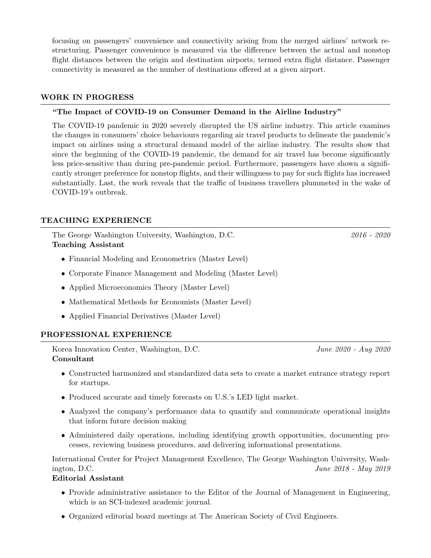focusing on passengers' convenience and connectivity arising from the merged airlines' network restructuring. Passenger convenience is measured via the difference between the actual and nonstop flight distances between the origin and destination airports, termed extra flight distance. Passenger connectivity is measured as the number of destinations offered at a given airport.

# WORK IN PROGRESS

# "The Impact of COVID-19 on Consumer Demand in the Airline Industry"

The COVID-19 pandemic in 2020 severely disrupted the US airline industry. This article examines the changes in consumers' choice behaviours regarding air travel products to delineate the pandemic's impact on airlines using a structural demand model of the airline industry. The results show that since the beginning of the COVID-19 pandemic, the demand for air travel has become significantly less price-sensitive than during pre-pandemic period. Furthermore, passengers have shown a significantly stronger preference for nonstop flights, and their willingness to pay for such flights has increased substantially. Last, the work reveals that the traffic of business travellers plummeted in the wake of COVID-19's outbreak.

# TEACHING EXPERIENCE

The George Washington University, Washington, D.C. 2016 - 2020 Teaching Assistant

- Financial Modeling and Econometrics (Master Level)
- Corporate Finance Management and Modeling (Master Level)
- Applied Microeconomics Theory (Master Level)
- Mathematical Methods for Economists (Master Level)
- Applied Financial Derivatives (Master Level)

# PROFESSIONAL EXPERIENCE

Korea Innovation Center, Washington, D.C. June 2020 - Aug 2020 Consultant

- Constructed harmonized and standardized data sets to create a market entrance strategy report for startups.
- Produced accurate and timely forecasts on U.S.'s LED light market.
- Analyzed the company's performance data to quantify and communicate operational insights that inform future decision making
- Administered daily operations, including identifying growth opportunities, documenting processes, reviewing business procedures, and delivering informational presentations.

International Center for Project Management Excellence, The George Washington University, Washington, D.C.  $June\ 2018 - May\ 2019$ 

#### Editorial Assistant

- Provide administrative assistance to the Editor of the Journal of Management in Engineering, which is an SCI-indexed academic journal.
- Organized editorial board meetings at The American Society of Civil Engineers.